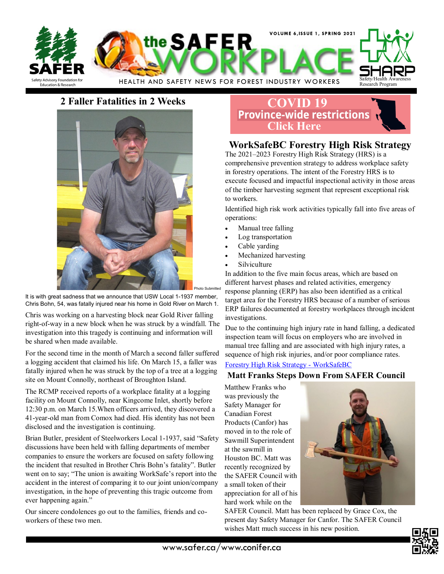

### **2 Faller Fatalities in 2 Weeks**



It is with great sadness that we announce that USW Local 1-1937 member, Chris Bohn, 54, was fatally injured near his home in Gold River on March 1.

Chris was working on a harvesting block near Gold River falling right-of-way in a new block when he was struck by a windfall. The investigation into this tragedy is continuing and information will be shared when made available.

For the second time in the month of March a second faller suffered a logging accident that claimed his life. On March 15, a faller was fatally injured when he was struck by the top of a tree at a logging site on Mount Connolly, northeast of Broughton Island.

The RCMP received reports of a workplace fatality at a logging facility on Mount Connolly, near Kingcome Inlet, shortly before 12:30 p.m. on March 15.When officers arrived, they discovered a 41-year-old man from Comox had died. His identity has not been disclosed and the investigation is continuing.

Brian Butler, president of Steelworkers Local 1-1937, said "Safety discussions have been held with falling departments of member companies to ensure the workers are focused on safety following the incident that resulted in Brother Chris Bohn's fatality". Butler went on to say; "The union is awaiting WorkSafe's report into the accident in the interest of comparing it to our joint union/company investigation, in the hope of preventing this tragic outcome from ever happening again."

Our sincere condolences go out to the families, friends and coworkers of these two men.

# **[COVID 19](https://www2.gov.bc.ca/gov/content/safety/emergency-preparedness-response-recovery/covid-19-provincial-support/restrictions)**<br>**Province-wide restrictions Click Here**

# **WorkSafeBC Forestry High Risk Strategy**

The 2021–2023 Forestry High Risk Strategy (HRS) is a comprehensive prevention strategy to address workplace safety in forestry operations. The intent of the Forestry HRS is to execute focused and impactful inspectional activity in those areas of the timber harvesting segment that represent exceptional risk to workers.

Identified high risk work activities typically fall into five areas of operations:

- Manual tree falling
- Log transportation
- Cable yarding
- Mechanized harvesting
- **Silviculture**

In addition to the five main focus areas, which are based on different harvest phases and related activities, emergency response planning (ERP) has also been identified as a critical target area for the Forestry HRS because of a number of serious ERP failures documented at forestry workplaces through incident investigations.

Due to the continuing high injury rate in hand falling, a dedicated inspection team will focus on employers who are involved in manual tree falling and are associated with high injury rates, a sequence of high risk injuries, and/or poor compliance rates.

#### [Forestry High Risk Strategy](https://www.worksafebc.com/en/about-us/what-we-do/high-risk-strategies/forestry) - WorkSafeBC

#### **Matt Franks Steps Down From SAFER Council**

Matthew Franks who was previously the Safety Manager for Canadian Forest Products (Canfor) has moved in to the role of Sawmill Superintendent at the sawmill in Houston BC. Matt was recently recognized by the SAFER Council with a small token of their appreciation for all of his hard work while on the



SAFER Council. Matt has been replaced by Grace Cox, the present day Safety Manager for Canfor. The SAFER Council wishes Matt much success in his new position.